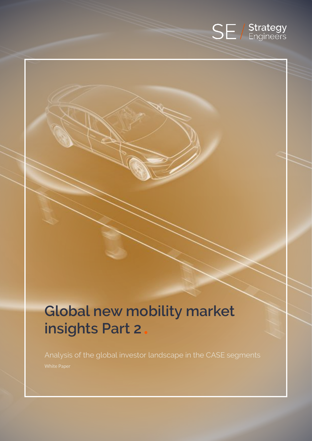

# **Global new mobility market insights Part 2**

Analysis of the global investor landscape in the CASE segments White Paper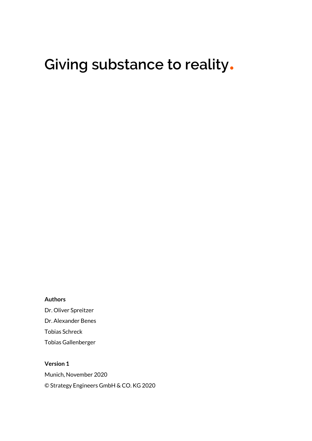# **Giving substance to reality**.

### **Authors**

Dr. Oliver Spreitzer Dr. Alexander Benes Tobias Schreck Tobias Gallenberger

**Version 1** Munich, November 2020 © Strategy Engineers GmbH & CO. KG 2020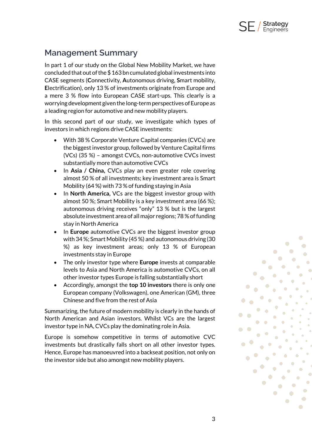

### **Management Summary**

In part 1 of our study on the Global New Mobility Market, we have concluded that out of the \$ 163 bn cumulated global investments into CASE segments (**C**onnectivity, **A**utonomous driving, **S**mart mobility, **E**lectrification), only 13 % of investments originate from Europe and a mere 3 % flow into European CASE start-ups. This clearly is a worrying development given the long-term perspectives of Europe as a leading region for automotive and new mobility players.

In this second part of our study, we investigate which types of investors in which regions drive CASE investments:

- With 38 % Corporate Venture Capital companies (CVCs) are the biggest investor group, followed by Venture Capital firms (VCs) (35 %) – amongst CVCs, non-automotive CVCs invest substantially more than automotive CVCs
- In **Asia / China,** CVCs play an even greater role covering almost 50 % of all investments; key investment area is Smart Mobility (64 %) with 73 % of funding staying in Asia
- In **North America,** VCs are the biggest investor group with almost 50 %; Smart Mobility is a key investment area (66 %); autonomous driving receives "only" 13 % but is the largest absolute investment area of all major regions; 78 % of funding stay in North America
- In **Europe** automotive CVCs are the biggest investor group with 34 %; Smart Mobility (45 %) and autonomous driving (30 %) as key investment areas; only 13 % of European investments stay in Europe
- The only investor type where **Europe** invests at comparable levels to Asia and North America is automotive CVCs, on all other investor types Europe is falling substantially short
- Accordingly, amongst the **top 10 investors** there is only one European company (Volkswagen), one American (GM), three Chinese and five from the rest of Asia

Summarizing, the future of modern mobility is clearly in the hands of North American and Asian investors. Whilst VCs are the largest investor type in NA, CVCs play the dominating role in Asia.

Europe is somehow competitive in terms of automotive CVC investments but drastically falls short on all other investor types. Hence, Europe has manoeuvred into a backseat position, not only on the investor side but also amongst new mobility players.

 $\overline{\phantom{a}}$ 

 $\bigcirc$ 

 $\bigcirc$ 

 $\bigcirc$ 

 $\bullet$ 

 $\bullet$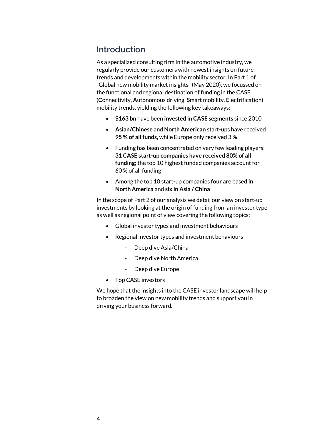### **Introduction**

As a specialized consulting firm in the automotive industry, we regularly provide our customers with newest insights on future trends and developments within the mobility sector. In Part 1 of "Global new mobility market insights" (May 2020), we focussed on the functional and regional destination of funding in the CASE (**C**onnectivity, **A**utonomous driving, **S**mart mobility, **E**lectrification) mobility trends, yielding the following key takeaways:

- **\$163 bn** have been **invested** in **CASE segments** since 2010
- **Asian/Chinese** and **North American** start-ups have received **95 % of all funds,** while Europe only received 3 %
- Funding has been concentrated on very few leading players: **31 CASE start-up companies have received 80% of all funding**; the top 10 highest funded companies account for 60 % of all funding
- Among the top 10 start-up companies **four** are based **in North America** and **six in Asia / China**

In the scope of Part 2 of our analysis we detail our view on start-up investments by looking at the origin of funding from an investor type as well as regional point of view covering the following topics:

- Global investor types and investment behaviours
- Regional investor types and investment behaviours
	- Deep dive Asia/China
	- Deep dive North America
	- Deep dive Europe
- Top CASE investors

We hope that the insights into the CASE investor landscape will help to broaden the view on new mobility trends and support you in driving your business forward.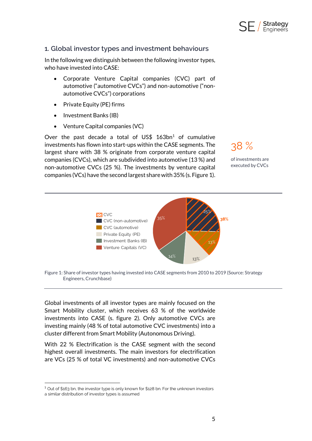

### **1. Global investor types and investment behaviours**

In the following we distinguish between the following investor types, who have invested into CASE:

- Corporate Venture Capital companies (CVC) part of automotive ("automotive CVCs") and non-automotive ("nonautomotive CVCs") corporations
- Private Equity (PE) firms
- Investment Banks (IB)
- Venture Capital companies (VC)

Over the past decade a total of US\$  $163bn<sup>1</sup>$  of cumulative investments has flown into start-ups within the CASE segments. The largest share with 38 % originate from corporate venture capital companies (CVCs), which are subdivided into automotive (13 %) and non-automotive CVCs (25 %). The investments by venture capital companies (VCs) have the second largest share with 35% (s. Figure 1).

38 %

of investments are executed by CVCs



Figure 1: Share of investor types having invested into CASE segments from 2010 to 2019 (Source: Strategy Engineers, Crunchbase)

Global investments of all investor types are mainly focused on the Smart Mobility cluster, which receives 63 % of the worldwide investments into CASE (s. figure 2). Only automotive CVCs are investing mainly (48 % of total automotive CVC investments) into a cluster different from Smart Mobility (Autonomous Driving).

With 22 % Electrification is the CASE segment with the second highest overall investments. The main investors for electrification are VCs (25 % of total VC investments) and non-automotive CVCs

<sup>1</sup> Out of \$163 bn, the investor type is only known for \$128 bn. For the unknown investors a similar distribution of investor types is assumed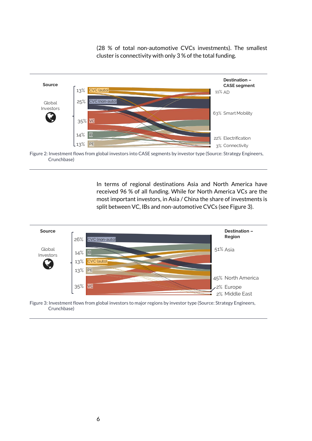(28 % of total non-automotive CVCs investments). The smallest cluster is connectivity with only 3 % of the total funding.



Figure 2: Investment flows from global investors into CASE segments by investor type (Source: Strategy Engineers, Crunchbase)

In terms of regional destinations Asia and North America have received 96 % of all funding. While for North America VCs are the most important investors, in Asia / China the share of investments is split between VC, IBs and non-automotive CVCs (see Figure 3).



Figure 3: Investment flows from global investors to major regions by investor type (Source: Strategy Engineers, Crunchbase)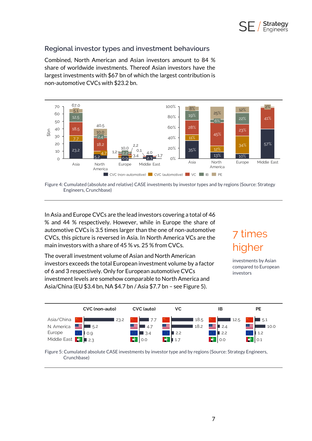

### **Regional investor types and investment behaviours**

Combined, North American and Asian investors amount to 84 % share of worldwide investments. Thereof Asian investors have the largest investments with \$67 bn of which the largest contribution is non-automotive CVCs with \$23.2 bn.



Figure 4: Cumulated (absolute and relative) CASE investments by investor types and by regions (Source: Strategy Engineers, Crunchbase)

In Asia and Europe CVCs are the lead investors covering a total of 46 % and 44 % respectively. However, while in Europe the share of automotive CVCs is 3.5 times larger than the one of non-automotive CVCs, this picture is reversed in Asia. In North America VCs are the main investors with a share of 45 % vs. 25 % from CVCs.

The overall investment volume of Asian and North American investors exceeds the total European investment volume by a factor of 6 and 3 respectively. Only for European automotive CVCs investment levels are somehow comparable to North America and Asia/China (EU \$3.4 bn, NA \$4.7 bn / Asia \$7.7 bn – see Figure 5).

## 7 times higher

investments by Asian compared to European investors



Figure 5: Cumulated absolute CASE investments by investor type and by regions (Source: Strategy Engineers, Crunchbase)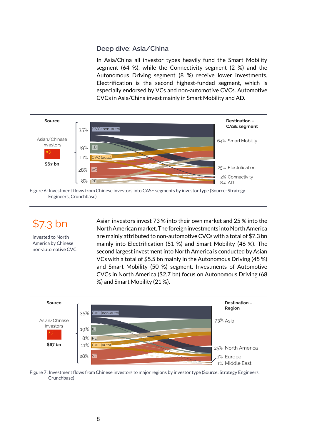### **Deep dive: Asia/China**

In Asia/China all investor types heavily fund the Smart Mobility segment (64 %), while the Connectivity segment (2 %) and the Autonomous Driving segment (8 %) receive lower investments. Electrification is the second highest-funded segment, which is especially endorsed by VCs and non-automotive CVCs. Automotive CVCs in Asia/China invest mainly in Smart Mobility and AD.



Figure 6: Investment flows from Chinese investors into CASE segments by investor type (Source: Strategy Engineers, Crunchbase)

\$7.3 bn

invested to North America by Chinese non-automotive CVC Asian investors invest 73 % into their own market and 25 % into the North American market. The foreign investments into North America are mainly attributed to non-automotive CVCs with a total of \$7.3 bn mainly into Electrification (51 %) and Smart Mobility (46 %). The second largest investment into North America is conducted by Asian VCs with a total of \$5.5 bn mainly in the Autonomous Driving (45 %) and Smart Mobility (50 %) segment. Investments of Automotive CVCs in North America (\$2.7 bn) focus on Autonomous Driving (68 %) and Smart Mobility (21 %).



Figure 7: Investment flows from Chinese investors to major regions by investor type (Source: Strategy Engineers, Crunchbase)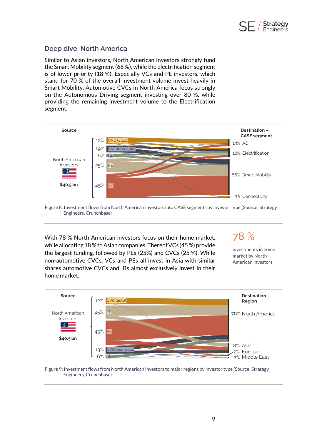

### **Deep dive: North America**

Similar to Asian investors, North American investors strongly fund the Smart Mobility segment (66 %), while the electrification segment is of lower priority (18 %). Especially VCs and PE investors, which stand for 70 % of the overall investment volume invest heavily in Smart Mobility. Automotive CVCs in North America focus strongly on the Autonomous Driving segment investing over 80 %, while providing the remaining investment volume to the Electrification segment.



Figure 8: Investment flows from North American investors into CASE segments by investor type (Source: Strategy Engineers, Crunchbase)

With 78 % North American investors focus on their home market, while allocating 18% to Asian companies. Thereof VCs (45 %) provide the largest funding, followed by PEs (25%) and CVCs (25 %). While non-automotive CVCs, VCs and PEs all invest in Asia with similar shares automotive CVCs and IBs almost exclusively invest in their home market.

78 % investments in home

market by North American investors



Figure 9: Investment flows from North American investors to major regions by investor type (Source: Strategy Engineers, Crunchbase)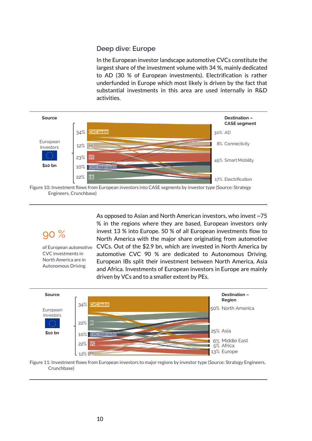### **Deep dive: Europe**

In the European investor landscape automotive CVCs constitute the largest share of the investment volume with 34 %, mainly dedicated to AD (30 % of European investments). Electrification is rather underfunded in Europe which most likely is driven by the fact that substantial investments in this area are used internally in R&D activities.



Figure 10: Investment flows from European investors into CASE segments by investor type (Source: Strategy Engineers, Crunchbase)

## 90 %

of European automotive CVC investments in North America are in Autonomous Driving

As opposed to Asian and North American investors, who invest ~75 % in the regions where they are based, European investors only invest 13 % into Europe. 50 % of all European investments flow to North America with the major share originating from automotive CVCs. Out of the \$2.9 bn, which are invested in North America by automotive CVC 90 % are dedicated to Autonomous Driving. European IBs split their investment between North America, Asia and Africa. Investments of European investors in Europe are mainly driven by VCs and to a smaller extent by PEs.



Figure 11: Investment flows from European investors to major regions by investor type (Source: Strategy Engineers, Crunchbase)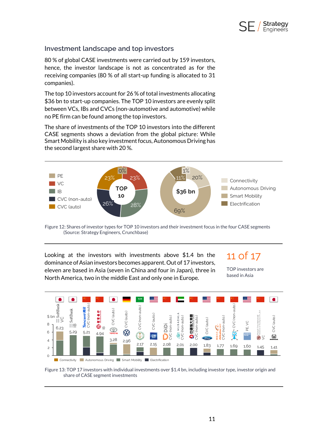

### **Investment landscape and top investors**

80 % of global CASE investments were carried out by 159 investors, hence, the investor landscape is not as concentrated as for the receiving companies (80 % of all start-up funding is allocated to 31 companies).

The top 10 investors account for 26 % of total investments allocating \$36 bn to start-up companies. The TOP 10 investors are evenly split between VCs, IBs and CVCs (non-automotive and automotive) while no PE firm can be found among the top investors.

The share of investments of the TOP 10 investors into the different CASE segments shows a deviation from the global picture: While Smart Mobility is also key investment focus, Autonomous Driving has the second largest share with 20 %.



Figure 12: Shares of investor types for TOP 10 investors and their investment focus in the four CASE segments (Source: Strategy Engineers, Crunchbase)

Looking at the investors with investments above \$1.4 bn the dominance of Asian investors becomes apparent. Out of 17 investors, eleven are based in Asia (seven in China and four in Japan), three in North America, two in the middle East and only one in Europe.

11 of 17

TOP investors are based in Asia



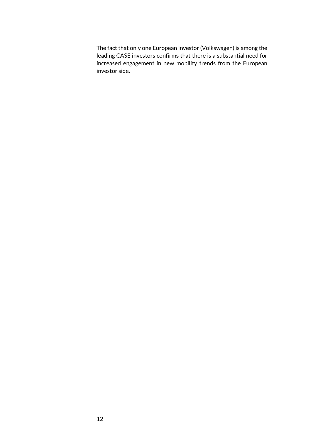The fact that only one European investor (Volkswagen) is among the leading CASE investors confirms that there is a substantial need for increased engagement in new mobility trends from the European investor side.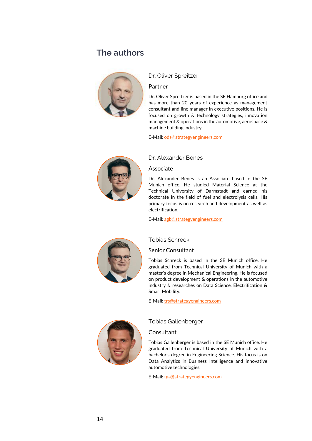### **The authors**



### Dr. Oliver Spreitzer

#### Partner

Dr. Oliver Spreitzer is based in the SE Hamburg office and has more than 20 years of experience as management consultant and line manager in executive positions. He is focused on growth & technology strategies, innovation management & operations in the automotive, aerospace & machine building industry.

E-Mail[: ods@strategyengineers.com](mailto:ods@strategyengineers.com)



### Dr. Alexander Benes

### Associate

Dr. Alexander Benes is an Associate based in the SE Munich office. He studied Material Science at the Technical University of Darmstadt and earned his doctorate in the field of fuel and electrolysis cells. His primary focus is on research and development as well as electrification.

E-Mail[: agb@strategyengineers.com](mailto:agb@strategyengineers.com)



#### Tobias Schreck

### Senior Consultant

Tobias Schreck is based in the SE Munich office. He graduated from Technical University of Munich with a master's degree in Mechanical Engineering. He is focused on product development & operations in the automotive industry & researches on Data Science, Electrification & Smart Mobility.

E-Mail[: trs@strategyengineers.com](mailto:trs@strategyengineers.com)



Tobias Gallenberger

#### **Consultant**

Tobias Gallenberger is based in the SE Munich office. He graduated from Technical University of Munich with a bachelor's degree in Engineering Science. His focus is on Data Analytics in Business Intelligence and innovative automotive technologies.

E-Mail[: tga@strategyengineers.com](mailto:tga@strategyengineers.com)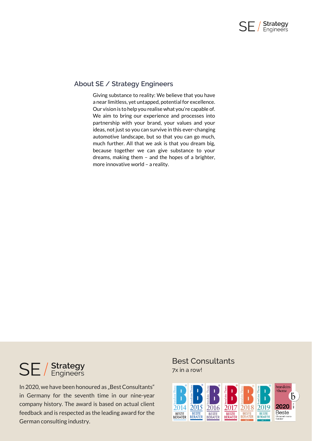

### **About SE / Strategy Engineers**

Giving substance to reality: We believe that you have a near limitless, yet untapped, potential for excellence. Our vision is to help you realise what you're capable of. We aim to bring our experience and processes into partnership with your brand, your values and your ideas, not just so you can survive in this ever-changing automotive landscape, but so that you can go much, much further. All that we ask is that you dream big, because together we can give substance to your dreams, making them – and the hopes of a brighter, more innovative world – a reality.

# **SE** / Strategy

In 2020, we have been honoured as "Best Consultants" in Germany for the seventh time in our nine-year company history. The award is based on actual client feedback and is respected as the leading award for the German consulting industry.

### Best Consultants 7x in a row!